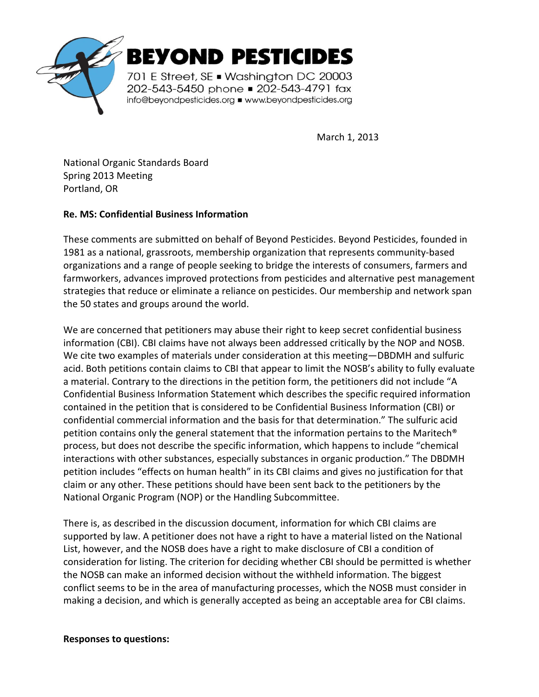

March 1, 2013

National Organic Standards Board Spring 2013 Meeting Portland, OR

#### **Re. MS: Confidential Business Information**

These comments are submitted on behalf of Beyond Pesticides. Beyond Pesticides, founded in 1981 as a national, grassroots, membership organization that represents community-based organizations and a range of people seeking to bridge the interests of consumers, farmers and farmworkers, advances improved protections from pesticides and alternative pest management strategies that reduce or eliminate a reliance on pesticides. Our membership and network span the 50 states and groups around the world.

We are concerned that petitioners may abuse their right to keep secret confidential business information (CBI). CBI claims have not always been addressed critically by the NOP and NOSB. We cite two examples of materials under consideration at this meeting—DBDMH and sulfuric acid. Both petitions contain claims to CBI that appear to limit the NOSB's ability to fully evaluate a material. Contrary to the directions in the petition form, the petitioners did not include "A Confidential Business Information Statement which describes the specific required information contained in the petition that is considered to be Confidential Business Information (CBI) or confidential commercial information and the basis for that determination." The sulfuric acid petition contains only the general statement that the information pertains to the Maritech® process, but does not describe the specific information, which happens to include "chemical interactions with other substances, especially substances in organic production." The DBDMH petition includes "effects on human health" in its CBI claims and gives no justification for that claim or any other. These petitions should have been sent back to the petitioners by the National Organic Program (NOP) or the Handling Subcommittee.

There is, as described in the discussion document, information for which CBI claims are supported by law. A petitioner does not have a right to have a material listed on the National List, however, and the NOSB does have a right to make disclosure of CBI a condition of consideration for listing. The criterion for deciding whether CBI should be permitted is whether the NOSB can make an informed decision without the withheld information. The biggest conflict seems to be in the area of manufacturing processes, which the NOSB must consider in making a decision, and which is generally accepted as being an acceptable area for CBI claims.

#### **Responses to questions:**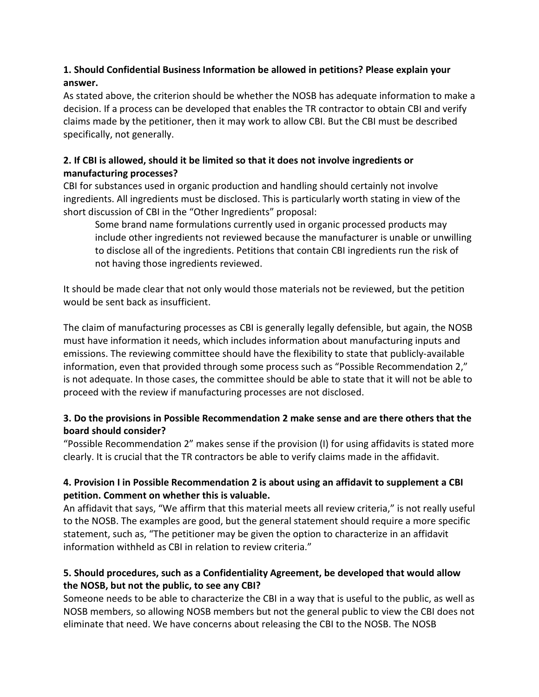#### **1. Should Confidential Business Information be allowed in petitions? Please explain your answer.**

As stated above, the criterion should be whether the NOSB has adequate information to make a decision. If a process can be developed that enables the TR contractor to obtain CBI and verify claims made by the petitioner, then it may work to allow CBI. But the CBI must be described specifically, not generally.

# **2. If CBI is allowed, should it be limited so that it does not involve ingredients or manufacturing processes?**

CBI for substances used in organic production and handling should certainly not involve ingredients. All ingredients must be disclosed. This is particularly worth stating in view of the short discussion of CBI in the "Other Ingredients" proposal:

Some brand name formulations currently used in organic processed products may include other ingredients not reviewed because the manufacturer is unable or unwilling to disclose all of the ingredients. Petitions that contain CBI ingredients run the risk of not having those ingredients reviewed.

It should be made clear that not only would those materials not be reviewed, but the petition would be sent back as insufficient.

The claim of manufacturing processes as CBI is generally legally defensible, but again, the NOSB must have information it needs, which includes information about manufacturing inputs and emissions. The reviewing committee should have the flexibility to state that publicly-available information, even that provided through some process such as "Possible Recommendation 2," is not adequate. In those cases, the committee should be able to state that it will not be able to proceed with the review if manufacturing processes are not disclosed.

# **3. Do the provisions in Possible Recommendation 2 make sense and are there others that the board should consider?**

"Possible Recommendation 2" makes sense if the provision (I) for using affidavits is stated more clearly. It is crucial that the TR contractors be able to verify claims made in the affidavit.

# **4. Provision I in Possible Recommendation 2 is about using an affidavit to supplement a CBI petition. Comment on whether this is valuable.**

An affidavit that says, "We affirm that this material meets all review criteria," is not really useful to the NOSB. The examples are good, but the general statement should require a more specific statement, such as, "The petitioner may be given the option to characterize in an affidavit information withheld as CBI in relation to review criteria."

# **5. Should procedures, such as a Confidentiality Agreement, be developed that would allow the NOSB, but not the public, to see any CBI?**

Someone needs to be able to characterize the CBI in a way that is useful to the public, as well as NOSB members, so allowing NOSB members but not the general public to view the CBI does not eliminate that need. We have concerns about releasing the CBI to the NOSB. The NOSB